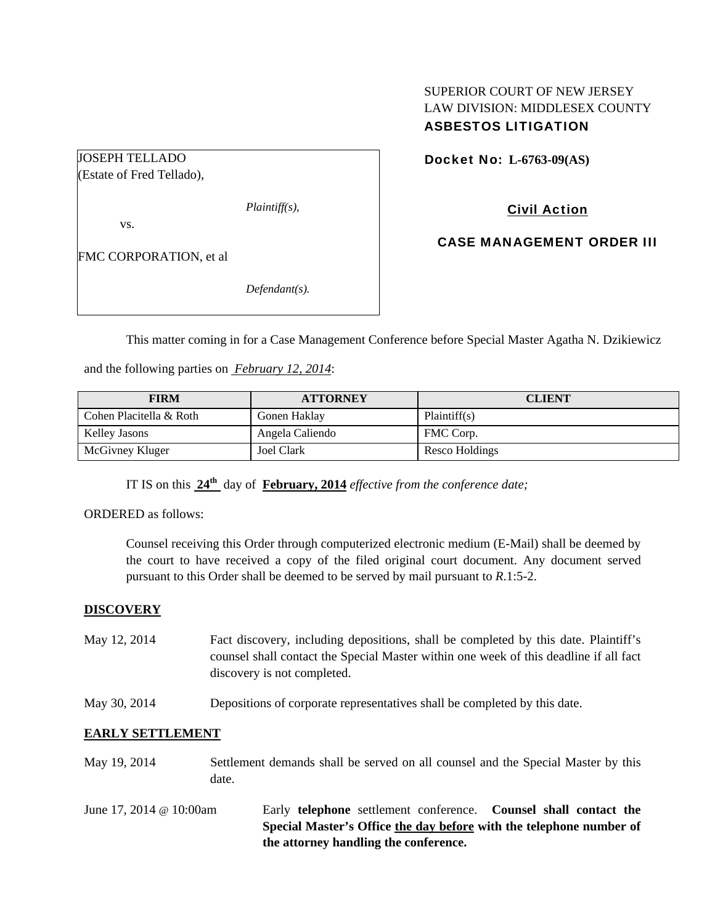## SUPERIOR COURT OF NEW JERSEY LAW DIVISION: MIDDLESEX COUNTY ASBESTOS LITIGATION

## Docket No: **L-6763-09(AS)**

(Estate of Fred Tellado),

JOSEPH TELLADO

*Plaintiff(s),* 

vs.

FMC CORPORATION, et al

*Defendant(s).* 

Civil Action

CASE MANAGEMENT ORDER III

This matter coming in for a Case Management Conference before Special Master Agatha N. Dzikiewicz

and the following parties on *February 12, 2014*:

| <b>FIRM</b>             | <b>ATTORNEY</b>   | <b>CLIENT</b>  |
|-------------------------|-------------------|----------------|
| Cohen Placitella & Roth | Gonen Haklay      | Plaintiff(s)   |
| Kelley Jasons           | Angela Caliendo   | FMC Corp.      |
| McGivney Kluger         | <b>Joel Clark</b> | Resco Holdings |

IT IS on this **24th** day of **February, 2014** *effective from the conference date;*

ORDERED as follows:

Counsel receiving this Order through computerized electronic medium (E-Mail) shall be deemed by the court to have received a copy of the filed original court document. Any document served pursuant to this Order shall be deemed to be served by mail pursuant to *R*.1:5-2.

## **DISCOVERY**

- May 12, 2014 Fact discovery, including depositions, shall be completed by this date. Plaintiff's counsel shall contact the Special Master within one week of this deadline if all fact discovery is not completed.
- May 30, 2014 Depositions of corporate representatives shall be completed by this date.

## **EARLY SETTLEMENT**

- May 19, 2014 Settlement demands shall be served on all counsel and the Special Master by this date.
- June 17, 2014 @ 10:00am Early **telephone** settlement conference. **Counsel shall contact the Special Master's Office the day before with the telephone number of the attorney handling the conference.**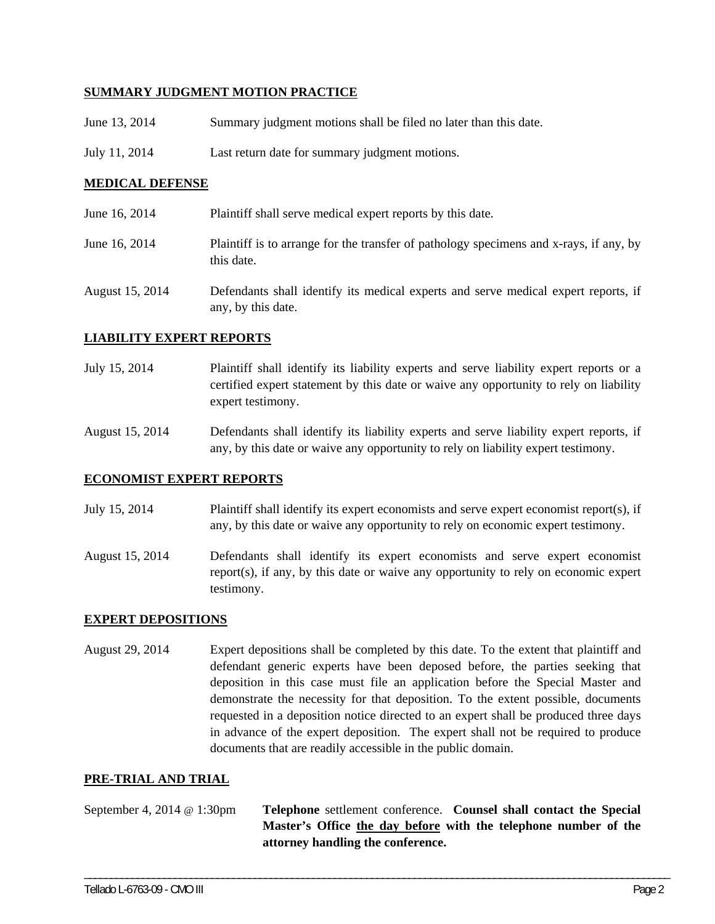### **SUMMARY JUDGMENT MOTION PRACTICE**

- June 13, 2014 Summary judgment motions shall be filed no later than this date.
- July 11, 2014 Last return date for summary judgment motions.

### **MEDICAL DEFENSE**

June 16, 2014 Plaintiff shall serve medical expert reports by this date. June 16, 2014 Plaintiff is to arrange for the transfer of pathology specimens and x-rays, if any, by this date. August 15, 2014 Defendants shall identify its medical experts and serve medical expert reports, if any, by this date.

#### **LIABILITY EXPERT REPORTS**

- July 15, 2014 Plaintiff shall identify its liability experts and serve liability expert reports or a certified expert statement by this date or waive any opportunity to rely on liability expert testimony.
- August 15, 2014 Defendants shall identify its liability experts and serve liability expert reports, if any, by this date or waive any opportunity to rely on liability expert testimony.

#### **ECONOMIST EXPERT REPORTS**

- July 15, 2014 Plaintiff shall identify its expert economists and serve expert economist report(s), if any, by this date or waive any opportunity to rely on economic expert testimony.
- August 15, 2014 Defendants shall identify its expert economists and serve expert economist report(s), if any, by this date or waive any opportunity to rely on economic expert testimony.

#### **EXPERT DEPOSITIONS**

August 29, 2014 Expert depositions shall be completed by this date. To the extent that plaintiff and defendant generic experts have been deposed before, the parties seeking that deposition in this case must file an application before the Special Master and demonstrate the necessity for that deposition. To the extent possible, documents requested in a deposition notice directed to an expert shall be produced three days in advance of the expert deposition. The expert shall not be required to produce documents that are readily accessible in the public domain.

#### **PRE-TRIAL AND TRIAL**

September 4, 2014 @ 1:30pm **Telephone** settlement conference. **Counsel shall contact the Special Master's Office the day before with the telephone number of the attorney handling the conference.** 

\_\_\_\_\_\_\_\_\_\_\_\_\_\_\_\_\_\_\_\_\_\_\_\_\_\_\_\_\_\_\_\_\_\_\_\_\_\_\_\_\_\_\_\_\_\_\_\_\_\_\_\_\_\_\_\_\_\_\_\_\_\_\_\_\_\_\_\_\_\_\_\_\_\_\_\_\_\_\_\_\_\_\_\_\_\_\_\_\_\_\_\_\_\_\_\_\_\_\_\_\_\_\_\_\_\_\_\_\_\_